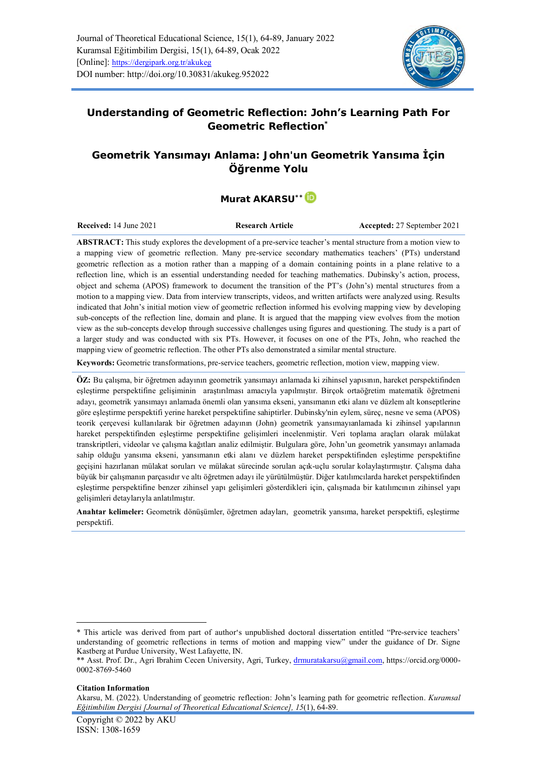

# **Understanding of Geometric Reflection: John's Learning Path For**

**Geometric Reflection\***

# **Geometrik Yansımayı Anlama: John'un Geometrik Yansıma İçin Öğrenme Yolu**

# **Murat AKARSU\*[\\*](https://orcid.org/0000-0002-8769-5460)**

**Received:** 14 June 2021 **Research Article Accepted:** 27 September 2021

**ABSTRACT:** This study explores the development of a pre-service teacher's mental structure from a motion view to a mapping view of geometric reflection. Many pre-service secondary mathematics teachers' (PTs) understand geometric reflection as a motion rather than a mapping of a domain containing points in a plane relative to a reflection line, which is an essential understanding needed for teaching mathematics. Dubinsky's action, process, object and schema (APOS) framework to document the transition of the PT's (John's) mental structures from a motion to a mapping view. Data from interview transcripts, videos, and written artifacts were analyzed using. Results indicated that John's initial motion view of geometric reflection informed his evolving mapping view by developing sub-concepts of the reflection line, domain and plane. It is argued that the mapping view evolves from the motion view as the sub-concepts develop through successive challenges using figures and questioning. The study is a part of a larger study and was conducted with six PTs. However, it focuses on one of the PTs, John, who reached the mapping view of geometric reflection. The other PTs also demonstrated a similar mental structure.

**Keywords:** Geometric transformations, pre-service teachers, geometric reflection, motion view, mapping view.

**ÖZ:** Bu çalışma, bir öğretmen adayının geometrik yansımayı anlamada ki zihinsel yapısının, hareket perspektifinden eşleştirme perspektifine gelişiminin araştırılması amacıyla yapılmıştır. Birçok ortaöğretim matematik öğretmeni adayı, geometrik yansımayı anlamada önemli olan yansıma ekseni, yansımanın etki alanı ve düzlem alt konseptlerine göre eşleştirme perspektifi yerine hareket perspektifine sahiptirler. Dubinsky'nin eylem, süreç, nesne ve sema (APOS) teorik çerçevesi kullanılarak bir öğretmen adayının (John) geometrik yansımayıanlamada ki zihinsel yapılarının hareket perspektifinden eşleştirme perspektifine gelişimleri incelenmiştir. Veri toplama araçları olarak mülakat transkriptleri, videolar ve çalışma kağıtları analiz edilmiştir. Bulgulara göre, John'un geometrik yansımayı anlamada sahip olduğu yansıma ekseni, yansımanın etki alanı ve düzlem hareket perspektifinden eşleştirme perspektifine geçişini hazırlanan mülakat soruları ve mülakat sürecinde sorulan açık-uçlu sorular kolaylaştırmıştır. Çalışma daha büyük bir çalışmanın parçasıdır ve altı öğretmen adayı ile yürütülmüştür. Diğer katılımcılarda hareket perspektifinden eşleştirme perspektifine benzer zihinsel yapı gelişimleri gösterdikleri için, çalışmada bir katılımcının zihinsel yapı gelişimleri detaylarıyla anlatılmıştır.

**Anahtar kelimeler:** Geometrik dönüşümler, öğretmen adayları, geometrik yansıma, hareket perspektifi, eşleştirme perspektifi.

#### **Citation Information**

<sup>\*</sup> This article was derived from part of author's unpublished doctoral dissertation entitled "Pre-service teachers' understanding of geometric reflections in terms of motion and mapping view" under the guidance of Dr. Signe Kastberg at Purdue University, West Lafayette, IN.

<sup>\*\*</sup> Asst. Prof. Dr., Agri Ibrahim Cecen University, Agri, Turkey[, drmuratakarsu@gmail.com,](mailto:drmuratakarsu@gmail.com) [https://orcid.org/0000-](https://orcid.org/0000-0002-8769-5460) [0002-8769-5460](https://orcid.org/0000-0002-8769-5460)

Akarsu, M. (2022). Understanding of geometric reflection: John's learning path for geometric reflection. *Kuramsal Eğitimbilim Dergisi [Journal of Theoretical Educational Science], 15*(1), 64-89.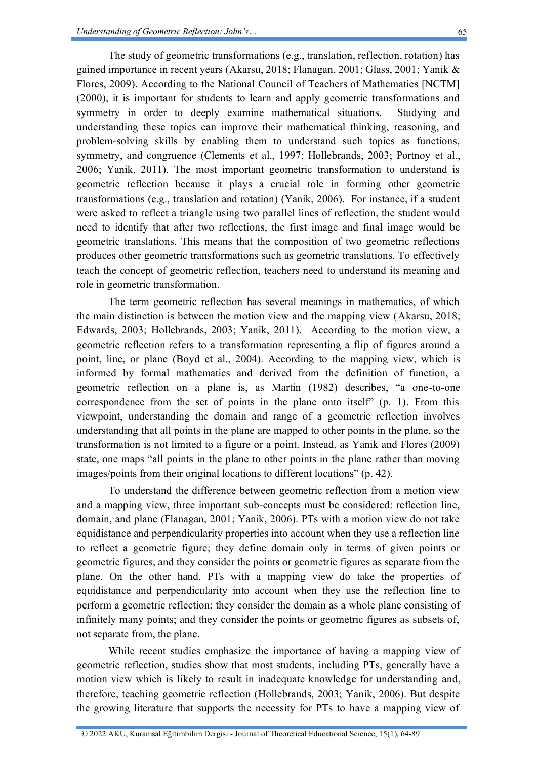The study of geometric transformations (e.g., translation, reflection, rotation) has gained importance in recent years (Akarsu, 2018; Flanagan, 2001; Glass, 2001; Yanik & Flores, 2009). According to the National Council of Teachers of Mathematics [NCTM] (2000), it is important for students to learn and apply geometric transformations and symmetry in order to deeply examine mathematical situations. Studying and understanding these topics can improve their mathematical thinking, reasoning, and problem-solving skills by enabling them to understand such topics as functions, symmetry, and congruence (Clements et al., 1997; Hollebrands, 2003; Portnoy et al., 2006; Yanik, 2011). The most important geometric transformation to understand is geometric reflection because it plays a crucial role in forming other geometric transformations (e.g., translation and rotation) (Yanik, 2006). For instance, if a student were asked to reflect a triangle using two parallel lines of reflection, the student would need to identify that after two reflections, the first image and final image would be geometric translations. This means that the composition of two geometric reflections produces other geometric transformations such as geometric translations. To effectively teach the concept of geometric reflection, teachers need to understand its meaning and role in geometric transformation.

The term geometric reflection has several meanings in mathematics, of which the main distinction is between the motion view and the mapping view (Akarsu, 2018; Edwards, 2003; Hollebrands, 2003; Yanik, 2011). According to the motion view, a geometric reflection refers to a transformation representing a flip of figures around a point, line, or plane (Boyd et al., 2004). According to the mapping view, which is informed by formal mathematics and derived from the definition of function, a geometric reflection on a plane is, as Martin (1982) describes, "a one-to-one correspondence from the set of points in the plane onto itself" (p. 1). From this viewpoint, understanding the domain and range of a geometric reflection involves understanding that all points in the plane are mapped to other points in the plane, so the transformation is not limited to a figure or a point. Instead, as Yanik and Flores (2009) state, one maps "all points in the plane to other points in the plane rather than moving images/points from their original locations to different locations" (p. 42).

To understand the difference between geometric reflection from a motion view and a mapping view, three important sub-concepts must be considered: reflection line, domain, and plane (Flanagan, 2001; Yanik, 2006). PTs with a motion view do not take equidistance and perpendicularity properties into account when they use a reflection line to reflect a geometric figure; they define domain only in terms of given points or geometric figures, and they consider the points or geometric figures as separate from the plane. On the other hand, PTs with a mapping view do take the properties of equidistance and perpendicularity into account when they use the reflection line to perform a geometric reflection; they consider the domain as a whole plane consisting of infinitely many points; and they consider the points or geometric figures as subsets of, not separate from, the plane.

While recent studies emphasize the importance of having a mapping view of geometric reflection, studies show that most students, including PTs, generally have a motion view which is likely to result in inadequate knowledge for understanding and, therefore, teaching geometric reflection (Hollebrands, 2003; Yanik, 2006). But despite the growing literature that supports the necessity for PTs to have a mapping view of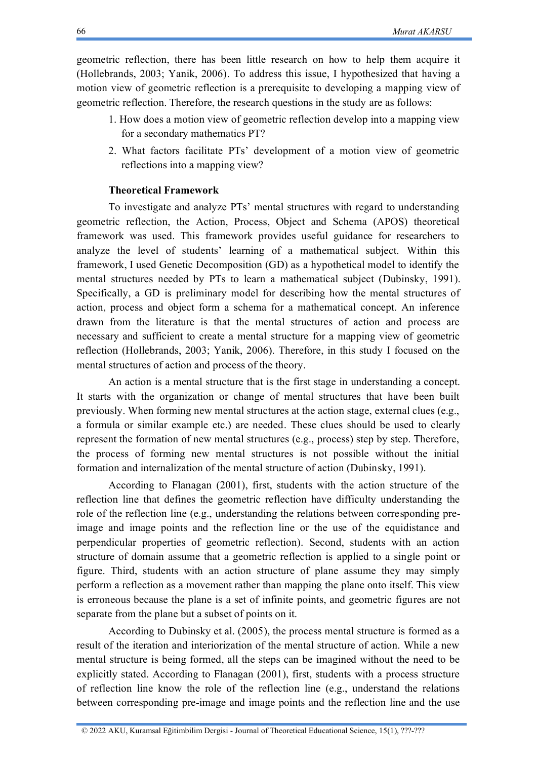geometric reflection, there has been little research on how to help them acquire it (Hollebrands, 2003; Yanik, 2006). To address this issue, I hypothesized that having a motion view of geometric reflection is a prerequisite to developing a mapping view of geometric reflection. Therefore, the research questions in the study are as follows:

- 1. How does a motion view of geometric reflection develop into a mapping view for a secondary mathematics PT?
- 2. What factors facilitate PTs' development of a motion view of geometric reflections into a mapping view?

# **Theoretical Framework**

To investigate and analyze PTs' mental structures with regard to understanding geometric reflection, the Action, Process, Object and Schema (APOS) theoretical framework was used. This framework provides useful guidance for researchers to analyze the level of students' learning of a mathematical subject. Within this framework, I used Genetic Decomposition (GD) as a hypothetical model to identify the mental structures needed by PTs to learn a mathematical subject (Dubinsky, 1991). Specifically, a GD is preliminary model for describing how the mental structures of action, process and object form a schema for a mathematical concept. An inference drawn from the literature is that the mental structures of action and process are necessary and sufficient to create a mental structure for a mapping view of geometric reflection (Hollebrands, 2003; Yanik, 2006). Therefore, in this study I focused on the mental structures of action and process of the theory.

An action is a mental structure that is the first stage in understanding a concept. It starts with the organization or change of mental structures that have been built previously. When forming new mental structures at the action stage, external clues (e.g., a formula or similar example etc.) are needed. These clues should be used to clearly represent the formation of new mental structures (e.g., process) step by step. Therefore, the process of forming new mental structures is not possible without the initial formation and internalization of the mental structure of action (Dubinsky, 1991).

According to Flanagan (2001), first, students with the action structure of the reflection line that defines the geometric reflection have difficulty understanding the role of the reflection line (e.g., understanding the relations between corresponding preimage and image points and the reflection line or the use of the equidistance and perpendicular properties of geometric reflection). Second, students with an action structure of domain assume that a geometric reflection is applied to a single point or figure. Third, students with an action structure of plane assume they may simply perform a reflection as a movement rather than mapping the plane onto itself. This view is erroneous because the plane is a set of infinite points, and geometric figures are not separate from the plane but a subset of points on it.

According to Dubinsky et al. (2005), the process mental structure is formed as a result of the iteration and interiorization of the mental structure of action. While a new mental structure is being formed, all the steps can be imagined without the need to be explicitly stated. According to Flanagan (2001), first, students with a process structure of reflection line know the role of the reflection line (e.g., understand the relations between corresponding pre-image and image points and the reflection line and the use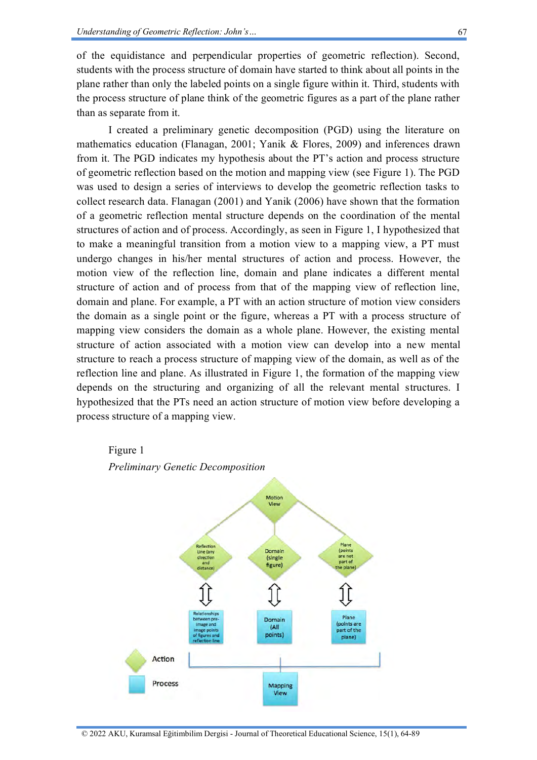of the equidistance and perpendicular properties of geometric reflection). Second, students with the process structure of domain have started to think about all points in the plane rather than only the labeled points on a single figure within it. Third, students with the process structure of plane think of the geometric figures as a part of the plane rather than as separate from it.

I created a preliminary genetic decomposition (PGD) using the literature on mathematics education (Flanagan, 2001; Yanik & Flores, 2009) and inferences drawn from it. The PGD indicates my hypothesis about the PT's action and process structure of geometric reflection based on the motion and mapping view (see Figure 1). The PGD was used to design a series of interviews to develop the geometric reflection tasks to collect research data. Flanagan (2001) and Yanik (2006) have shown that the formation of a geometric reflection mental structure depends on the coordination of the mental structures of action and of process. Accordingly, as seen in Figure 1, I hypothesized that to make a meaningful transition from a motion view to a mapping view, a PT must undergo changes in his/her mental structures of action and process. However, the motion view of the reflection line, domain and plane indicates a different mental structure of action and of process from that of the mapping view of reflection line, domain and plane. For example, a PT with an action structure of motion view considers the domain as a single point or the figure, whereas a PT with a process structure of mapping view considers the domain as a whole plane. However, the existing mental structure of action associated with a motion view can develop into a new mental structure to reach a process structure of mapping view of the domain, as well as of the reflection line and plane. As illustrated in Figure 1, the formation of the mapping view depends on the structuring and organizing of all the relevant mental structures. I hypothesized that the PTs need an action structure of motion view before developing a process structure of a mapping view.

# Figure 1



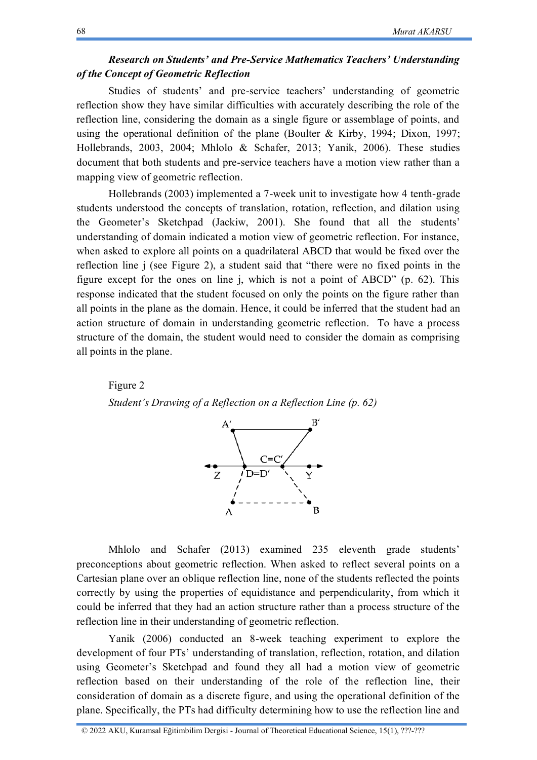# *Research on Students' and Pre-Service Mathematics Teachers' Understanding of the Concept of Geometric Reflection*

Studies of students' and pre-service teachers' understanding of geometric reflection show they have similar difficulties with accurately describing the role of the reflection line, considering the domain as a single figure or assemblage of points, and using the operational definition of the plane (Boulter & Kirby, 1994; Dixon, 1997; Hollebrands, 2003, 2004; Mhlolo & Schafer, 2013; Yanik, 2006). These studies document that both students and pre-service teachers have a motion view rather than a mapping view of geometric reflection.

Hollebrands (2003) implemented a 7-week unit to investigate how 4 tenth-grade students understood the concepts of translation, rotation, reflection, and dilation using the Geometer's Sketchpad (Jackiw, 2001). She found that all the students' understanding of domain indicated a motion view of geometric reflection. For instance, when asked to explore all points on a quadrilateral ABCD that would be fixed over the reflection line j (see Figure 2), a student said that "there were no fixed points in the figure except for the ones on line j, which is not a point of ABCD" (p. 62). This response indicated that the student focused on only the points on the figure rather than all points in the plane as the domain. Hence, it could be inferred that the student had an action structure of domain in understanding geometric reflection. To have a process structure of the domain, the student would need to consider the domain as comprising all points in the plane.

Figure 2





Mhlolo and Schafer (2013) examined 235 eleventh grade students' preconceptions about geometric reflection. When asked to reflect several points on a Cartesian plane over an oblique reflection line, none of the students reflected the points correctly by using the properties of equidistance and perpendicularity, from which it could be inferred that they had an action structure rather than a process structure of the reflection line in their understanding of geometric reflection.

Yanik (2006) conducted an 8-week teaching experiment to explore the development of four PTs' understanding of translation, reflection, rotation, and dilation using Geometer's Sketchpad and found they all had a motion view of geometric reflection based on their understanding of the role of the reflection line, their consideration of domain as a discrete figure, and using the operational definition of the plane. Specifically, the PTs had difficulty determining how to use the reflection line and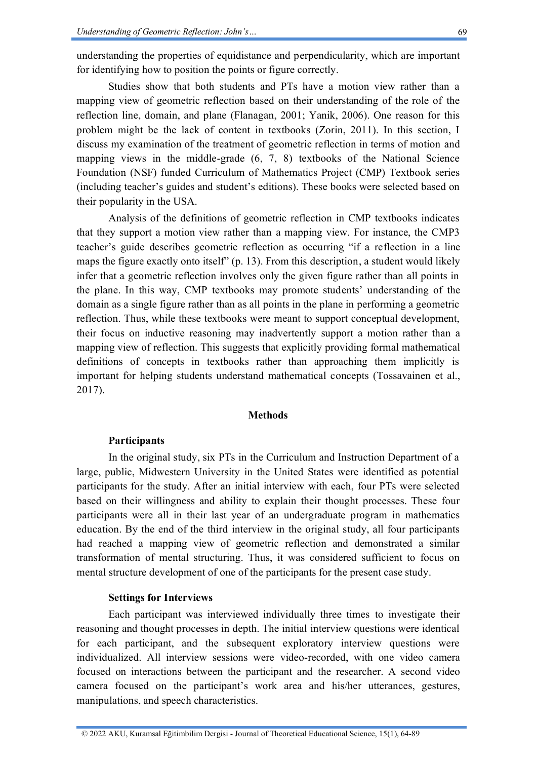understanding the properties of equidistance and perpendicularity, which are important for identifying how to position the points or figure correctly.

Studies show that both students and PTs have a motion view rather than a mapping view of geometric reflection based on their understanding of the role of the reflection line, domain, and plane (Flanagan, 2001; Yanik, 2006). One reason for this problem might be the lack of content in textbooks (Zorin, 2011). In this section, I discuss my examination of the treatment of geometric reflection in terms of motion and mapping views in the middle-grade (6, 7, 8) textbooks of the National Science Foundation (NSF) funded Curriculum of Mathematics Project (CMP) Textbook series (including teacher's guides and student's editions). These books were selected based on their popularity in the USA.

Analysis of the definitions of geometric reflection in CMP textbooks indicates that they support a motion view rather than a mapping view. For instance, the CMP3 teacher's guide describes geometric reflection as occurring "if a reflection in a line maps the figure exactly onto itself" (p. 13). From this description, a student would likely infer that a geometric reflection involves only the given figure rather than all points in the plane. In this way, CMP textbooks may promote students' understanding of the domain as a single figure rather than as all points in the plane in performing a geometric reflection. Thus, while these textbooks were meant to support conceptual development, their focus on inductive reasoning may inadvertently support a motion rather than a mapping view of reflection. This suggests that explicitly providing formal mathematical definitions of concepts in textbooks rather than approaching them implicitly is important for helping students understand mathematical concepts (Tossavainen et al., 2017).

#### **Methods**

# **Participants**

In the original study, six PTs in the Curriculum and Instruction Department of a large, public, Midwestern University in the United States were identified as potential participants for the study. After an initial interview with each, four PTs were selected based on their willingness and ability to explain their thought processes. These four participants were all in their last year of an undergraduate program in mathematics education. By the end of the third interview in the original study, all four participants had reached a mapping view of geometric reflection and demonstrated a similar transformation of mental structuring. Thus, it was considered sufficient to focus on mental structure development of one of the participants for the present case study.

# **Settings for Interviews**

Each participant was interviewed individually three times to investigate their reasoning and thought processes in depth. The initial interview questions were identical for each participant, and the subsequent exploratory interview questions were individualized. All interview sessions were video-recorded, with one video camera focused on interactions between the participant and the researcher. A second video camera focused on the participant's work area and his/her utterances, gestures, manipulations, and speech characteristics.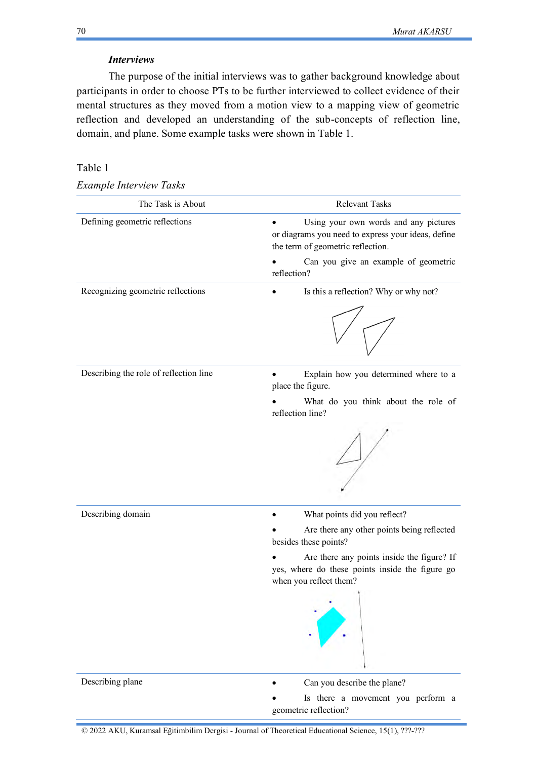# *Interviews*

The purpose of the initial interviews was to gather background knowledge about participants in order to choose PTs to be further interviewed to collect evidence of their mental structures as they moved from a motion view to a mapping view of geometric reflection and developed an understanding of the sub-concepts of reflection line, domain, and plane. Some example tasks were shown in Table 1.

# Table 1

| Example Interview Tasks |  |  |  |  |  |
|-------------------------|--|--|--|--|--|
|-------------------------|--|--|--|--|--|

| The Task is About                      | Relevant Tasks                                                                                                                   |  |  |
|----------------------------------------|----------------------------------------------------------------------------------------------------------------------------------|--|--|
| Defining geometric reflections         | Using your own words and any pictures<br>or diagrams you need to express your ideas, define<br>the term of geometric reflection. |  |  |
|                                        | Can you give an example of geometric<br>reflection?                                                                              |  |  |
| Recognizing geometric reflections      | Is this a reflection? Why or why not?                                                                                            |  |  |
|                                        |                                                                                                                                  |  |  |
| Describing the role of reflection line | Explain how you determined where to a<br>place the figure.                                                                       |  |  |
|                                        | What do you think about the role of<br>reflection line?                                                                          |  |  |
|                                        |                                                                                                                                  |  |  |
| Describing domain                      | What points did you reflect?                                                                                                     |  |  |
|                                        | Are there any other points being reflected<br>besides these points?                                                              |  |  |
|                                        | Are there any points inside the figure? If<br>yes, where do these points inside the figure go<br>when you reflect them?          |  |  |
|                                        |                                                                                                                                  |  |  |
| Describing plane                       | Can you describe the plane?                                                                                                      |  |  |
|                                        | Is there a movement you perform a<br>geometric reflection?                                                                       |  |  |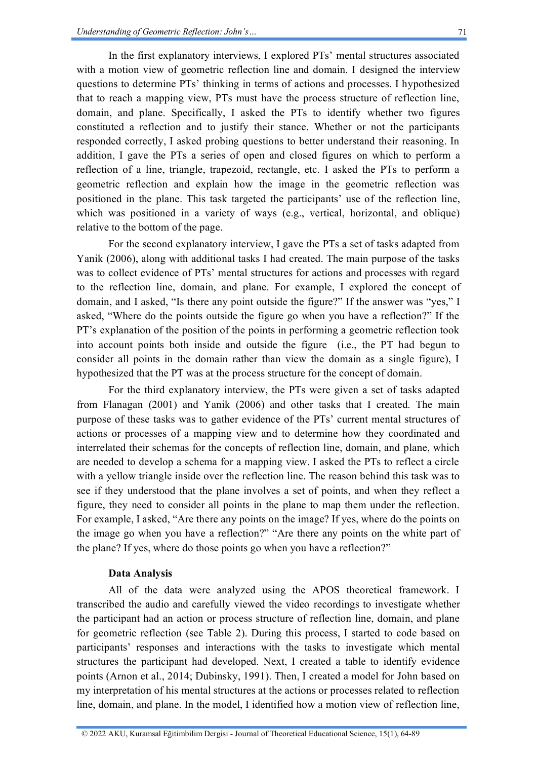In the first explanatory interviews, I explored PTs' mental structures associated with a motion view of geometric reflection line and domain. I designed the interview questions to determine PTs' thinking in terms of actions and processes. I hypothesized that to reach a mapping view, PTs must have the process structure of reflection line, domain, and plane. Specifically, I asked the PTs to identify whether two figures constituted a reflection and to justify their stance. Whether or not the participants responded correctly, I asked probing questions to better understand their reasoning. In addition, I gave the PTs a series of open and closed figures on which to perform a reflection of a line, triangle, trapezoid, rectangle, etc. I asked the PTs to perform a geometric reflection and explain how the image in the geometric reflection was positioned in the plane. This task targeted the participants' use of the reflection line, which was positioned in a variety of ways (e.g., vertical, horizontal, and oblique) relative to the bottom of the page.

For the second explanatory interview, I gave the PTs a set of tasks adapted from Yanik (2006), along with additional tasks I had created. The main purpose of the tasks was to collect evidence of PTs' mental structures for actions and processes with regard to the reflection line, domain, and plane. For example, I explored the concept of domain, and I asked, "Is there any point outside the figure?" If the answer was "yes," I asked, "Where do the points outside the figure go when you have a reflection?" If the PT's explanation of the position of the points in performing a geometric reflection took into account points both inside and outside the figure (i.e., the PT had begun to consider all points in the domain rather than view the domain as a single figure), I hypothesized that the PT was at the process structure for the concept of domain.

For the third explanatory interview, the PTs were given a set of tasks adapted from Flanagan (2001) and Yanik (2006) and other tasks that I created. The main purpose of these tasks was to gather evidence of the PTs' current mental structures of actions or processes of a mapping view and to determine how they coordinated and interrelated their schemas for the concepts of reflection line, domain, and plane, which are needed to develop a schema for a mapping view. I asked the PTs to reflect a circle with a yellow triangle inside over the reflection line. The reason behind this task was to see if they understood that the plane involves a set of points, and when they reflect a figure, they need to consider all points in the plane to map them under the reflection. For example, I asked, "Are there any points on the image? If yes, where do the points on the image go when you have a reflection?" "Are there any points on the white part of the plane? If yes, where do those points go when you have a reflection?"

# **Data Analysis**

All of the data were analyzed using the APOS theoretical framework. I transcribed the audio and carefully viewed the video recordings to investigate whether the participant had an action or process structure of reflection line, domain, and plane for geometric reflection (see Table 2). During this process, I started to code based on participants' responses and interactions with the tasks to investigate which mental structures the participant had developed. Next, I created a table to identify evidence points (Arnon et al., 2014; Dubinsky, 1991). Then, I created a model for John based on my interpretation of his mental structures at the actions or processes related to reflection line, domain, and plane. In the model, I identified how a motion view of reflection line,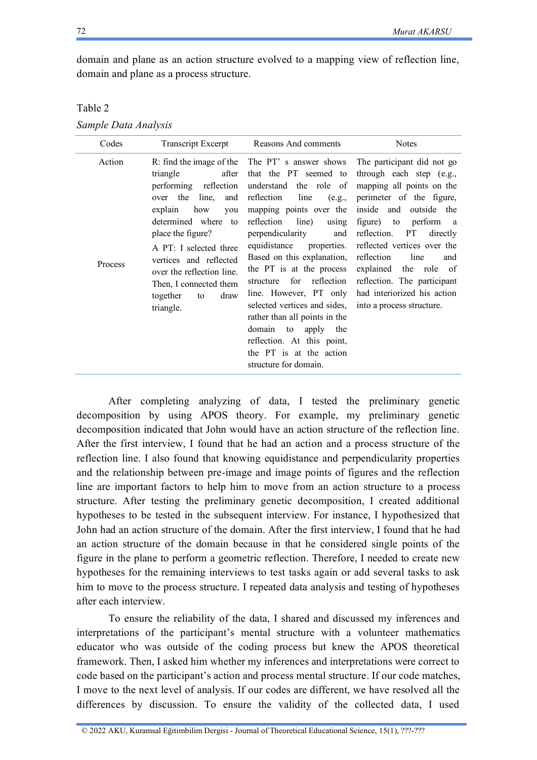domain and plane as an action structure evolved to a mapping view of reflection line, domain and plane as a process structure.

| able |  |
|------|--|
|------|--|

| Codes             | <b>Transcript Excerpt</b>                                                                                                                                                                                                                                                                           | Reasons And comments                                                                                                                                                                                                                                                                                                                                                                                                                                                                                                                                          | <b>Notes</b>                                                                                                                                                                                                                                                                                                                                                                                  |
|-------------------|-----------------------------------------------------------------------------------------------------------------------------------------------------------------------------------------------------------------------------------------------------------------------------------------------------|---------------------------------------------------------------------------------------------------------------------------------------------------------------------------------------------------------------------------------------------------------------------------------------------------------------------------------------------------------------------------------------------------------------------------------------------------------------------------------------------------------------------------------------------------------------|-----------------------------------------------------------------------------------------------------------------------------------------------------------------------------------------------------------------------------------------------------------------------------------------------------------------------------------------------------------------------------------------------|
| Action<br>Process | after<br>triangle<br>performing reflection<br>the<br>line,<br>and<br>over<br>explain<br>how<br>you<br>determined where<br>to<br>place the figure?<br>A PT: I selected three<br>vertices and reflected<br>over the reflection line.<br>Then, I connected them<br>together<br>draw<br>to<br>triangle. | R: find the image of the The PT' s answer shows<br>that the PT seemed to<br>understand the role of<br>reflection<br>line<br>(e.g.,<br>mapping points over the<br>reflection<br>line)<br>using<br>perpendicularity<br>and<br>properties.<br>equidistance<br>Based on this explanation,<br>the PT is at the process<br>reflection<br>for<br>structure<br>line. However, PT only<br>selected vertices and sides,<br>rather than all points in the<br>domain to<br>apply<br>the<br>reflection. At this point,<br>the PT is at the action<br>structure for domain. | The participant did not go<br>through each step (e.g.,<br>mapping all points on the<br>perimeter of the figure,<br>inside and<br>outside the<br>figure) to<br>perform<br>a a<br>reflection.<br>PT<br>directly<br>reflected vertices over the<br>reflection<br>line<br>and<br>explained the role of<br>reflection. The participant<br>had interiorized his action<br>into a process structure. |

After completing analyzing of data, I tested the preliminary genetic decomposition by using APOS theory. For example, my preliminary genetic decomposition indicated that John would have an action structure of the reflection line. After the first interview, I found that he had an action and a process structure of the reflection line. I also found that knowing equidistance and perpendicularity properties and the relationship between pre-image and image points of figures and the reflection line are important factors to help him to move from an action structure to a process structure. After testing the preliminary genetic decomposition, I created additional hypotheses to be tested in the subsequent interview. For instance, I hypothesized that John had an action structure of the domain. After the first interview, I found that he had an action structure of the domain because in that he considered single points of the figure in the plane to perform a geometric reflection. Therefore, I needed to create new hypotheses for the remaining interviews to test tasks again or add several tasks to ask him to move to the process structure. I repeated data analysis and testing of hypotheses after each interview.

To ensure the reliability of the data, I shared and discussed my inferences and interpretations of the participant's mental structure with a volunteer mathematics educator who was outside of the coding process but knew the APOS theoretical framework. Then, I asked him whether my inferences and interpretations were correct to code based on the participant's action and process mental structure. If our code matches, I move to the next level of analysis. If our codes are different, we have resolved all the differences by discussion. To ensure the validity of the collected data, I used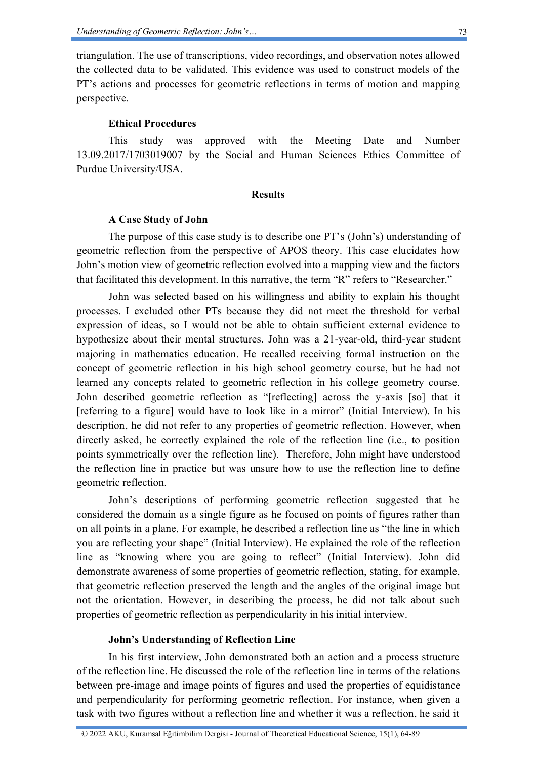triangulation. The use of transcriptions, video recordings, and observation notes allowed the collected data to be validated. This evidence was used to construct models of the PT's actions and processes for geometric reflections in terms of motion and mapping perspective.

# **Ethical Procedures**

This study was approved with the Meeting Date and Number 13.09.2017/1703019007 by the Social and Human Sciences Ethics Committee of Purdue University/USA.

### **Results**

### **A Case Study of John**

The purpose of this case study is to describe one PT's (John's) understanding of geometric reflection from the perspective of APOS theory. This case elucidates how John's motion view of geometric reflection evolved into a mapping view and the factors that facilitated this development. In this narrative, the term "R" refers to "Researcher."

John was selected based on his willingness and ability to explain his thought processes. I excluded other PTs because they did not meet the threshold for verbal expression of ideas, so I would not be able to obtain sufficient external evidence to hypothesize about their mental structures. John was a 21-year-old, third-year student majoring in mathematics education. He recalled receiving formal instruction on the concept of geometric reflection in his high school geometry course, but he had not learned any concepts related to geometric reflection in his college geometry course. John described geometric reflection as "[reflecting] across the y-axis [so] that it [referring to a figure] would have to look like in a mirror" (Initial Interview). In his description, he did not refer to any properties of geometric reflection. However, when directly asked, he correctly explained the role of the reflection line (i.e., to position points symmetrically over the reflection line). Therefore, John might have understood the reflection line in practice but was unsure how to use the reflection line to define geometric reflection.

John's descriptions of performing geometric reflection suggested that he considered the domain as a single figure as he focused on points of figures rather than on all points in a plane. For example, he described a reflection line as "the line in which you are reflecting your shape" (Initial Interview). He explained the role of the reflection line as "knowing where you are going to reflect" (Initial Interview). John did demonstrate awareness of some properties of geometric reflection, stating, for example, that geometric reflection preserved the length and the angles of the original image but not the orientation. However, in describing the process, he did not talk about such properties of geometric reflection as perpendicularity in his initial interview.

# **John's Understanding of Reflection Line**

In his first interview, John demonstrated both an action and a process structure of the reflection line. He discussed the role of the reflection line in terms of the relations between pre-image and image points of figures and used the properties of equidistance and perpendicularity for performing geometric reflection. For instance, when given a task with two figures without a reflection line and whether it was a reflection, he said it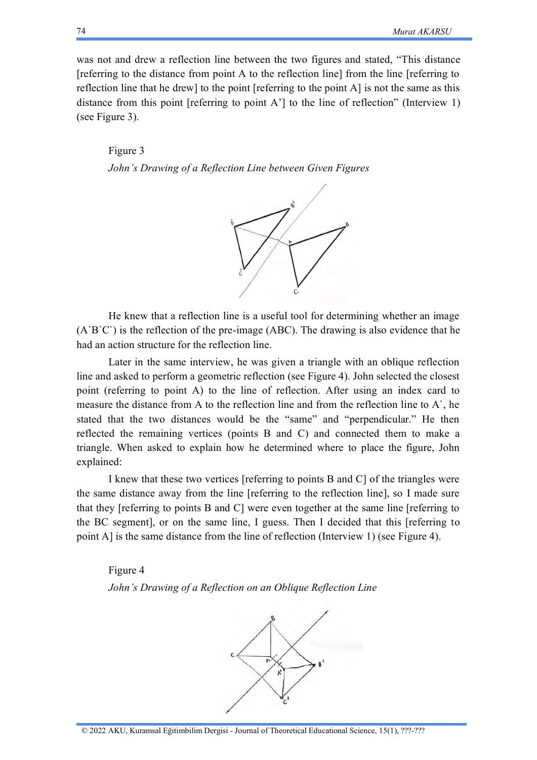was not and drew a reflection line between the two figures and stated, "This distance [referring to the distance from point A to the reflection line] from the line [referring to reflection line that he drew] to the point [referring to the point A] is not the same as this distance from this point [referring to point A'] to the line of reflection" (Interview 1) (see Figure 3).

# Figure 3 *John's Drawing of a Reflection Line between Given Figures*



He knew that a reflection line is a useful tool for determining whether an image  $(A'B'C')$  is the reflection of the pre-image (ABC). The drawing is also evidence that he had an action structure for the reflection line.

Later in the same interview, he was given a triangle with an oblique reflection line and asked to perform a geometric reflection (see Figure 4). John selected the closest point (referring to point A) to the line of reflection. After using an index card to measure the distance from A to the reflection line and from the reflection line to A`, he stated that the two distances would be the "same" and "perpendicular." He then reflected the remaining vertices (points B and C) and connected them to make a triangle. When asked to explain how he determined where to place the figure, John explained:

I knew that these two vertices [referring to points B and C] of the triangles were the same distance away from the line [referring to the reflection line], so I made sure that they [referring to points B and C] were even together at the same line [referring to the BC segment], or on the same line, I guess. Then I decided that this [referring to point A] is the same distance from the line of reflection (Interview 1) (see Figure 4).

Figure 4 *John's Drawing of a Reflection on an Oblique Reflection Line*

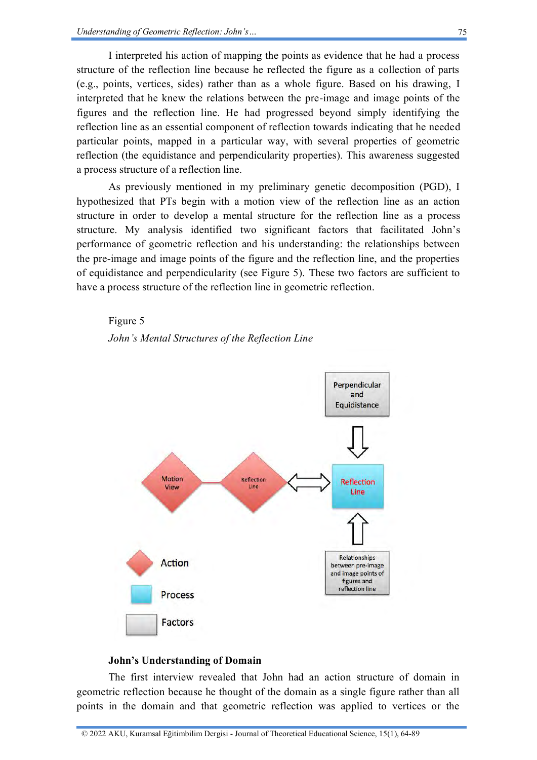I interpreted his action of mapping the points as evidence that he had a process structure of the reflection line because he reflected the figure as a collection of parts (e.g., points, vertices, sides) rather than as a whole figure. Based on his drawing, I interpreted that he knew the relations between the pre-image and image points of the figures and the reflection line. He had progressed beyond simply identifying the reflection line as an essential component of reflection towards indicating that he needed particular points, mapped in a particular way, with several properties of geometric reflection (the equidistance and perpendicularity properties). This awareness suggested a process structure of a reflection line.

As previously mentioned in my preliminary genetic decomposition (PGD), I hypothesized that PTs begin with a motion view of the reflection line as an action structure in order to develop a mental structure for the reflection line as a process structure. My analysis identified two significant factors that facilitated John's performance of geometric reflection and his understanding: the relationships between the pre-image and image points of the figure and the reflection line, and the properties of equidistance and perpendicularity (see Figure 5). These two factors are sufficient to have a process structure of the reflection line in geometric reflection.

#### Figure 5





# **John's Understanding of Domain**

The first interview revealed that John had an action structure of domain in geometric reflection because he thought of the domain as a single figure rather than all points in the domain and that geometric reflection was applied to vertices or the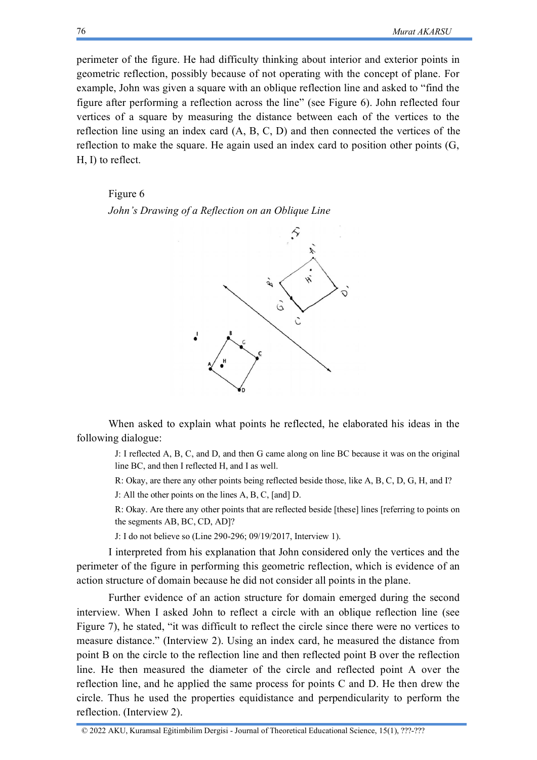perimeter of the figure. He had difficulty thinking about interior and exterior points in geometric reflection, possibly because of not operating with the concept of plane. For example, John was given a square with an oblique reflection line and asked to "find the figure after performing a reflection across the line" (see Figure 6). John reflected four vertices of a square by measuring the distance between each of the vertices to the reflection line using an index card (A, B, C, D) and then connected the vertices of the reflection to make the square. He again used an index card to position other points (G, H, I) to reflect.

#### Figure 6

*John's Drawing of a Reflection on an Oblique Line*



When asked to explain what points he reflected, he elaborated his ideas in the following dialogue:

J: I reflected A, B, C, and D, and then G came along on line BC because it was on the original line BC, and then I reflected H, and I as well.

R: Okay, are there any other points being reflected beside those, like A, B, C, D, G, H, and I?

J: All the other points on the lines A, B, C, [and] D.

R: Okay. Are there any other points that are reflected beside [these] lines [referring to points on the segments AB, BC, CD, AD]?

J: I do not believe so (Line 290-296; 09/19/2017, Interview 1).

I interpreted from his explanation that John considered only the vertices and the perimeter of the figure in performing this geometric reflection, which is evidence of an action structure of domain because he did not consider all points in the plane.

Further evidence of an action structure for domain emerged during the second interview. When I asked John to reflect a circle with an oblique reflection line (see Figure 7), he stated, "it was difficult to reflect the circle since there were no vertices to measure distance." (Interview 2). Using an index card, he measured the distance from point B on the circle to the reflection line and then reflected point B over the reflection line. He then measured the diameter of the circle and reflected point A over the reflection line, and he applied the same process for points C and D. He then drew the circle. Thus he used the properties equidistance and perpendicularity to perform the reflection. (Interview 2).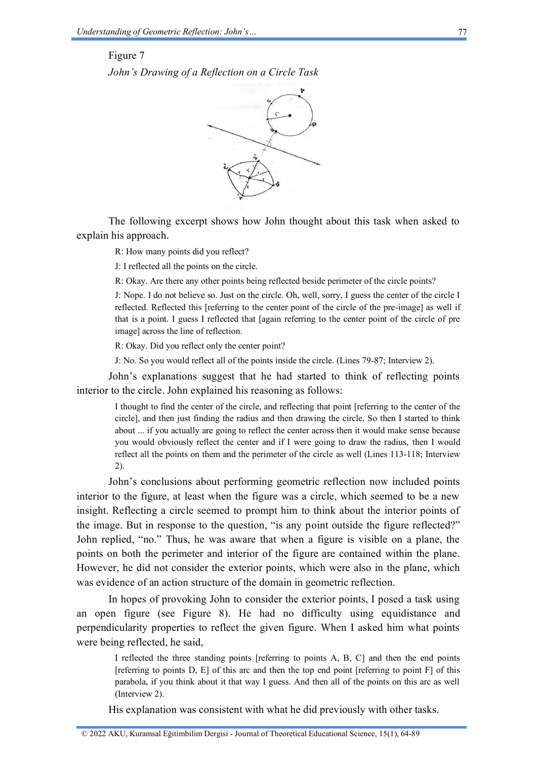#### Figure 7

*John's Drawing of a Reflection on a Circle Task*



The following excerpt shows how John thought about this task when asked to explain his approach.

R: How many points did you reflect?

J: I reflected all the points on the circle.

R: Okay. Are there any other points being reflected beside perimeter of the circle points?

J: Nope. I do not believe so. Just on the circle. Oh, well, sorry, I guess the center of the circle I reflected. Reflected this [referring to the center point of the circle of the pre-image] as well if that is a point. I guess I reflected that [again referring to the center point of the circle of pre image] across the line of reflection.

R: Okay. Did you reflect only the center point?

J: No. So you would reflect all of the points inside the circle. (Lines 79-87; Interview 2).

John's explanations suggest that he had started to think of reflecting points interior to the circle. John explained his reasoning as follows:

I thought to find the center of the circle, and reflecting that point [referring to the center of the circle], and then just finding the radius and then drawing the circle. So then I started to think about ... if you actually are going to reflect the center across then it would make sense because you would obviously reflect the center and if I were going to draw the radius, then I would reflect all the points on them and the perimeter of the circle as well (Lines 113-118; Interview 2).

John's conclusions about performing geometric reflection now included points interior to the figure, at least when the figure was a circle, which seemed to be a new insight. Reflecting a circle seemed to prompt him to think about the interior points of the image. But in response to the question, "is any point outside the figure reflected?" John replied, "no." Thus, he was aware that when a figure is visible on a plane, the points on both the perimeter and interior of the figure are contained within the plane. However, he did not consider the exterior points, which were also in the plane, which was evidence of an action structure of the domain in geometric reflection.

In hopes of provoking John to consider the exterior points, I posed a task using an open figure (see Figure 8). He had no difficulty using equidistance and perpendicularity properties to reflect the given figure. When I asked him what points were being reflected, he said,

I reflected the three standing points [referring to points A, B, C] and then the end points [referring to points D, E] of this arc and then the top end point [referring to point F] of this parabola, if you think about it that way I guess. And then all of the points on this arc as well (Interview 2).

His explanation was consistent with what he did previously with other tasks.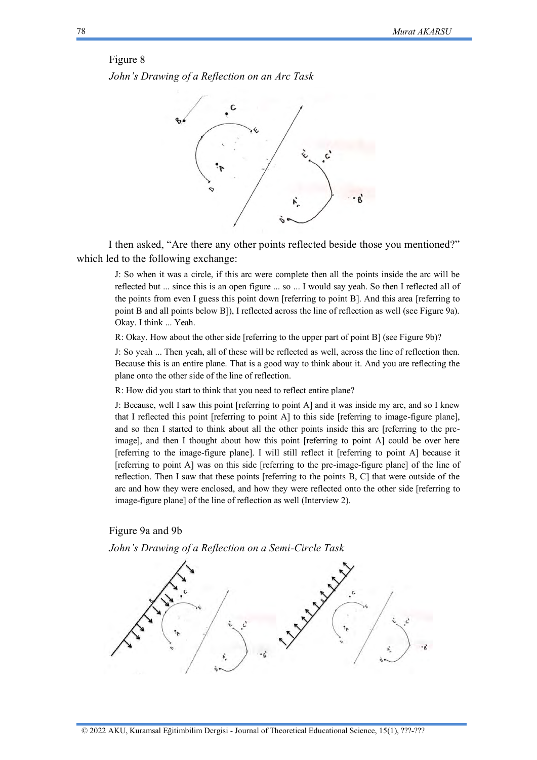#### Figure 8

*John's Drawing of a Reflection on an Arc Task*



I then asked, "Are there any other points reflected beside those you mentioned?" which led to the following exchange:

J: So when it was a circle, if this arc were complete then all the points inside the arc will be reflected but ... since this is an open figure ... so ... I would say yeah. So then I reflected all of the points from even I guess this point down [referring to point B]. And this area [referring to point B and all points below B]), I reflected across the line of reflection as well (see Figure 9a). Okay. I think ... Yeah.

R: Okay. How about the other side [referring to the upper part of point B] (see Figure 9b)?

J: So yeah ... Then yeah, all of these will be reflected as well, across the line of reflection then. Because this is an entire plane. That is a good way to think about it. And you are reflecting the plane onto the other side of the line of reflection.

R: How did you start to think that you need to reflect entire plane?

J: Because, well I saw this point [referring to point A] and it was inside my arc, and so I knew that I reflected this point [referring to point A] to this side [referring to image-figure plane], and so then I started to think about all the other points inside this arc [referring to the preimage], and then I thought about how this point [referring to point A] could be over here [referring to the image-figure plane]. I will still reflect it [referring to point A] because it [referring to point A] was on this side [referring to the pre-image-figure plane] of the line of reflection. Then I saw that these points [referring to the points B, C] that were outside of the arc and how they were enclosed, and how they were reflected onto the other side [referring to image-figure plane] of the line of reflection as well (Interview 2).

# Figure 9a and 9b



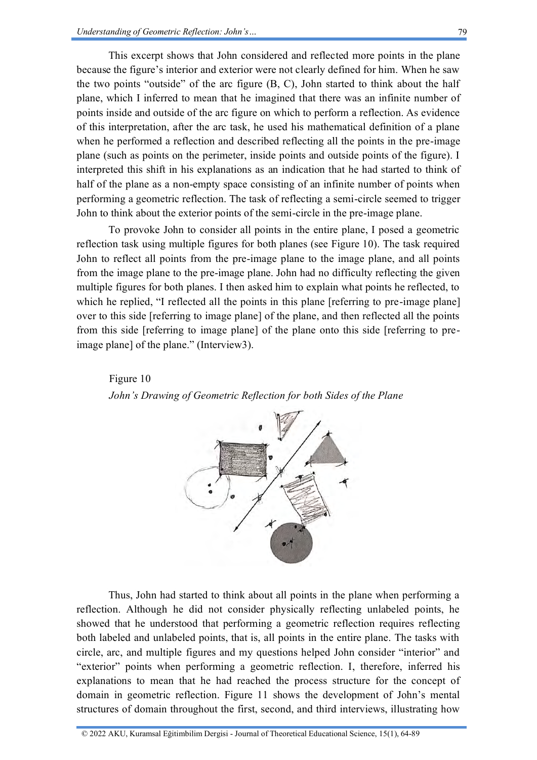This excerpt shows that John considered and reflected more points in the plane because the figure's interior and exterior were not clearly defined for him. When he saw the two points "outside" of the arc figure (B, C), John started to think about the half plane, which I inferred to mean that he imagined that there was an infinite number of points inside and outside of the arc figure on which to perform a reflection. As evidence of this interpretation, after the arc task, he used his mathematical definition of a plane when he performed a reflection and described reflecting all the points in the pre-image plane (such as points on the perimeter, inside points and outside points of the figure). I interpreted this shift in his explanations as an indication that he had started to think of half of the plane as a non-empty space consisting of an infinite number of points when performing a geometric reflection. The task of reflecting a semi-circle seemed to trigger John to think about the exterior points of the semi-circle in the pre-image plane.

To provoke John to consider all points in the entire plane, I posed a geometric reflection task using multiple figures for both planes (see Figure 10). The task required John to reflect all points from the pre-image plane to the image plane, and all points from the image plane to the pre-image plane. John had no difficulty reflecting the given multiple figures for both planes. I then asked him to explain what points he reflected, to which he replied, "I reflected all the points in this plane [referring to pre-image plane] over to this side [referring to image plane] of the plane, and then reflected all the points from this side [referring to image plane] of the plane onto this side [referring to preimage plane] of the plane." (Interview3).

Figure 10 *John's Drawing of Geometric Reflection for both Sides of the Plane*



Thus, John had started to think about all points in the plane when performing a reflection. Although he did not consider physically reflecting unlabeled points, he showed that he understood that performing a geometric reflection requires reflecting both labeled and unlabeled points, that is, all points in the entire plane. The tasks with circle, arc, and multiple figures and my questions helped John consider "interior" and "exterior" points when performing a geometric reflection. I, therefore, inferred his explanations to mean that he had reached the process structure for the concept of domain in geometric reflection. Figure 11 shows the development of John's mental structures of domain throughout the first, second, and third interviews, illustrating how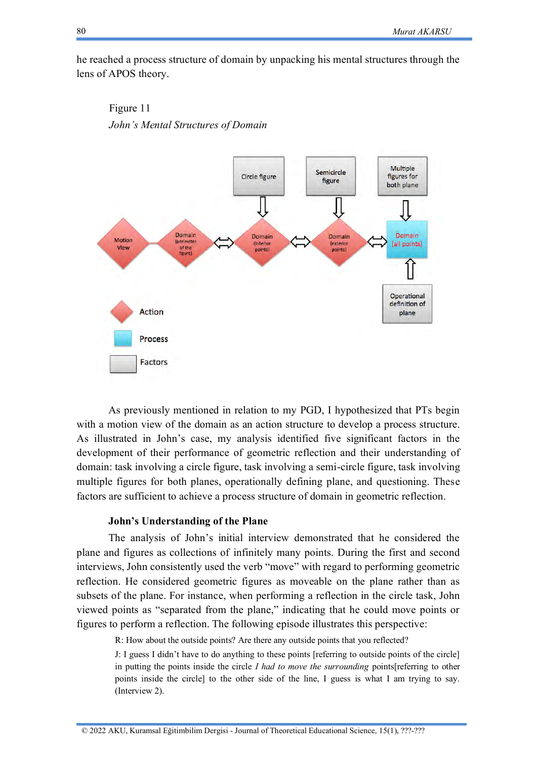he reached a process structure of domain by unpacking his mental structures through the lens of APOS theory.





As previously mentioned in relation to my PGD, I hypothesized that PTs begin with a motion view of the domain as an action structure to develop a process structure. As illustrated in John's case, my analysis identified five significant factors in the development of their performance of geometric reflection and their understanding of domain: task involving a circle figure, task involving a semi-circle figure, task involving multiple figures for both planes, operationally defining plane, and questioning. These factors are sufficient to achieve a process structure of domain in geometric reflection.

# **John's Understanding of the Plane**

The analysis of John's initial interview demonstrated that he considered the plane and figures as collections of infinitely many points. During the first and second interviews, John consistently used the verb "move" with regard to performing geometric reflection. He considered geometric figures as moveable on the plane rather than as subsets of the plane. For instance, when performing a reflection in the circle task, John viewed points as "separated from the plane," indicating that he could move points or figures to perform a reflection. The following episode illustrates this perspective:

R: How about the outside points? Are there any outside points that you reflected?

J: I guess I didn't have to do anything to these points [referring to outside points of the circle] in putting the points inside the circle *I had to move the surrounding* points[referring to other points inside the circle] to the other side of the line, I guess is what I am trying to say. (Interview 2).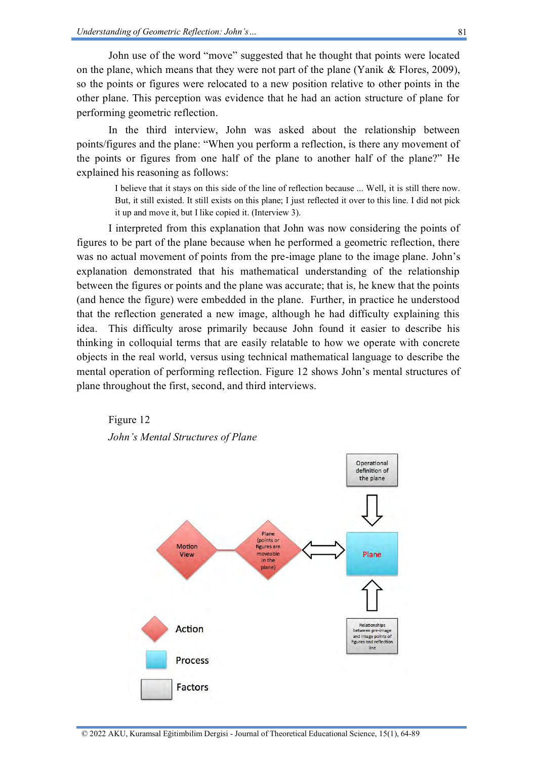John use of the word "move" suggested that he thought that points were located on the plane, which means that they were not part of the plane (Yanik & Flores, 2009), so the points or figures were relocated to a new position relative to other points in the other plane. This perception was evidence that he had an action structure of plane for performing geometric reflection.

In the third interview, John was asked about the relationship between points/figures and the plane: "When you perform a reflection, is there any movement of the points or figures from one half of the plane to another half of the plane?" He explained his reasoning as follows:

I believe that it stays on this side of the line of reflection because ... Well, it is still there now. But, it still existed. It still exists on this plane; I just reflected it over to this line. I did not pick it up and move it, but I like copied it. (Interview 3).

I interpreted from this explanation that John was now considering the points of figures to be part of the plane because when he performed a geometric reflection, there was no actual movement of points from the pre-image plane to the image plane. John's explanation demonstrated that his mathematical understanding of the relationship between the figures or points and the plane was accurate; that is, he knew that the points (and hence the figure) were embedded in the plane. Further, in practice he understood that the reflection generated a new image, although he had difficulty explaining this idea. This difficulty arose primarily because John found it easier to describe his thinking in colloquial terms that are easily relatable to how we operate with concrete objects in the real world, versus using technical mathematical language to describe the mental operation of performing reflection. Figure 12 shows John's mental structures of plane throughout the first, second, and third interviews.



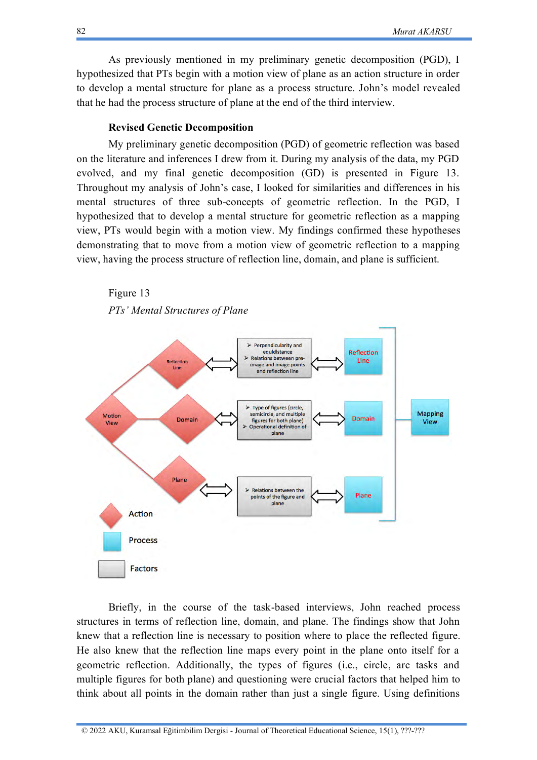As previously mentioned in my preliminary genetic decomposition (PGD), I hypothesized that PTs begin with a motion view of plane as an action structure in order to develop a mental structure for plane as a process structure. John's model revealed that he had the process structure of plane at the end of the third interview.

### **Revised Genetic Decomposition**

My preliminary genetic decomposition (PGD) of geometric reflection was based on the literature and inferences I drew from it. During my analysis of the data, my PGD evolved, and my final genetic decomposition (GD) is presented in Figure 13. Throughout my analysis of John's case, I looked for similarities and differences in his mental structures of three sub-concepts of geometric reflection. In the PGD, I hypothesized that to develop a mental structure for geometric reflection as a mapping view, PTs would begin with a motion view. My findings confirmed these hypotheses demonstrating that to move from a motion view of geometric reflection to a mapping view, having the process structure of reflection line, domain, and plane is sufficient.

Figure 13

*PTs' Mental Structures of Plane*



Briefly, in the course of the task-based interviews, John reached process structures in terms of reflection line, domain, and plane. The findings show that John knew that a reflection line is necessary to position where to place the reflected figure. He also knew that the reflection line maps every point in the plane onto itself for a geometric reflection. Additionally, the types of figures (i.e., circle, arc tasks and multiple figures for both plane) and questioning were crucial factors that helped him to think about all points in the domain rather than just a single figure. Using definitions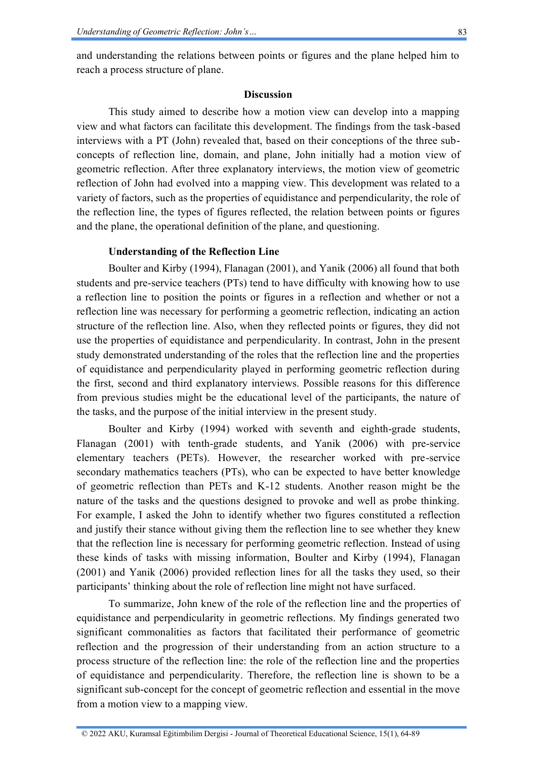and understanding the relations between points or figures and the plane helped him to reach a process structure of plane.

# **Discussion**

This study aimed to describe how a motion view can develop into a mapping view and what factors can facilitate this development. The findings from the task-based interviews with a PT (John) revealed that, based on their conceptions of the three subconcepts of reflection line, domain, and plane, John initially had a motion view of geometric reflection. After three explanatory interviews, the motion view of geometric reflection of John had evolved into a mapping view. This development was related to a variety of factors, such as the properties of equidistance and perpendicularity, the role of the reflection line, the types of figures reflected, the relation between points or figures and the plane, the operational definition of the plane, and questioning.

# **Understanding of the Reflection Line**

Boulter and Kirby (1994), Flanagan (2001), and Yanik (2006) all found that both students and pre-service teachers (PTs) tend to have difficulty with knowing how to use a reflection line to position the points or figures in a reflection and whether or not a reflection line was necessary for performing a geometric reflection, indicating an action structure of the reflection line. Also, when they reflected points or figures, they did not use the properties of equidistance and perpendicularity. In contrast, John in the present study demonstrated understanding of the roles that the reflection line and the properties of equidistance and perpendicularity played in performing geometric reflection during the first, second and third explanatory interviews. Possible reasons for this difference from previous studies might be the educational level of the participants, the nature of the tasks, and the purpose of the initial interview in the present study.

Boulter and Kirby (1994) worked with seventh and eighth-grade students, Flanagan (2001) with tenth-grade students, and Yanik (2006) with pre-service elementary teachers (PETs). However, the researcher worked with pre-service secondary mathematics teachers (PTs), who can be expected to have better knowledge of geometric reflection than PETs and K-12 students. Another reason might be the nature of the tasks and the questions designed to provoke and well as probe thinking. For example, I asked the John to identify whether two figures constituted a reflection and justify their stance without giving them the reflection line to see whether they knew that the reflection line is necessary for performing geometric reflection. Instead of using these kinds of tasks with missing information, Boulter and Kirby (1994), Flanagan (2001) and Yanik (2006) provided reflection lines for all the tasks they used, so their participants' thinking about the role of reflection line might not have surfaced.

To summarize, John knew of the role of the reflection line and the properties of equidistance and perpendicularity in geometric reflections. My findings generated two significant commonalities as factors that facilitated their performance of geometric reflection and the progression of their understanding from an action structure to a process structure of the reflection line: the role of the reflection line and the properties of equidistance and perpendicularity. Therefore, the reflection line is shown to be a significant sub-concept for the concept of geometric reflection and essential in the move from a motion view to a mapping view.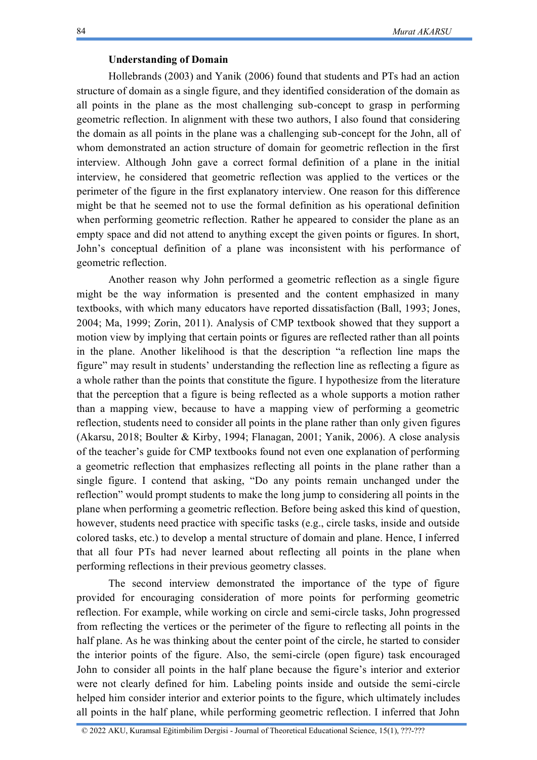# **Understanding of Domain**

Hollebrands (2003) and Yanik (2006) found that students and PTs had an action structure of domain as a single figure, and they identified consideration of the domain as all points in the plane as the most challenging sub-concept to grasp in performing geometric reflection. In alignment with these two authors, I also found that considering the domain as all points in the plane was a challenging sub-concept for the John, all of whom demonstrated an action structure of domain for geometric reflection in the first interview. Although John gave a correct formal definition of a plane in the initial interview, he considered that geometric reflection was applied to the vertices or the perimeter of the figure in the first explanatory interview. One reason for this difference might be that he seemed not to use the formal definition as his operational definition when performing geometric reflection. Rather he appeared to consider the plane as an empty space and did not attend to anything except the given points or figures. In short, John's conceptual definition of a plane was inconsistent with his performance of geometric reflection.

Another reason why John performed a geometric reflection as a single figure might be the way information is presented and the content emphasized in many textbooks, with which many educators have reported dissatisfaction (Ball, 1993; Jones, 2004; Ma, 1999; Zorin, 2011). Analysis of CMP textbook showed that they support a motion view by implying that certain points or figures are reflected rather than all points in the plane. Another likelihood is that the description "a reflection line maps the figure" may result in students' understanding the reflection line as reflecting a figure as a whole rather than the points that constitute the figure. I hypothesize from the literature that the perception that a figure is being reflected as a whole supports a motion rather than a mapping view, because to have a mapping view of performing a geometric reflection, students need to consider all points in the plane rather than only given figures (Akarsu, 2018; Boulter & Kirby, 1994; Flanagan, 2001; Yanik, 2006). A close analysis of the teacher's guide for CMP textbooks found not even one explanation of performing a geometric reflection that emphasizes reflecting all points in the plane rather than a single figure. I contend that asking, "Do any points remain unchanged under the reflection" would prompt students to make the long jump to considering all points in the plane when performing a geometric reflection. Before being asked this kind of question, however, students need practice with specific tasks (e.g., circle tasks, inside and outside colored tasks, etc.) to develop a mental structure of domain and plane. Hence, I inferred that all four PTs had never learned about reflecting all points in the plane when performing reflections in their previous geometry classes.

The second interview demonstrated the importance of the type of figure provided for encouraging consideration of more points for performing geometric reflection. For example, while working on circle and semi-circle tasks, John progressed from reflecting the vertices or the perimeter of the figure to reflecting all points in the half plane. As he was thinking about the center point of the circle, he started to consider the interior points of the figure. Also, the semi-circle (open figure) task encouraged John to consider all points in the half plane because the figure's interior and exterior were not clearly defined for him. Labeling points inside and outside the semi-circle helped him consider interior and exterior points to the figure, which ultimately includes all points in the half plane, while performing geometric reflection. I inferred that John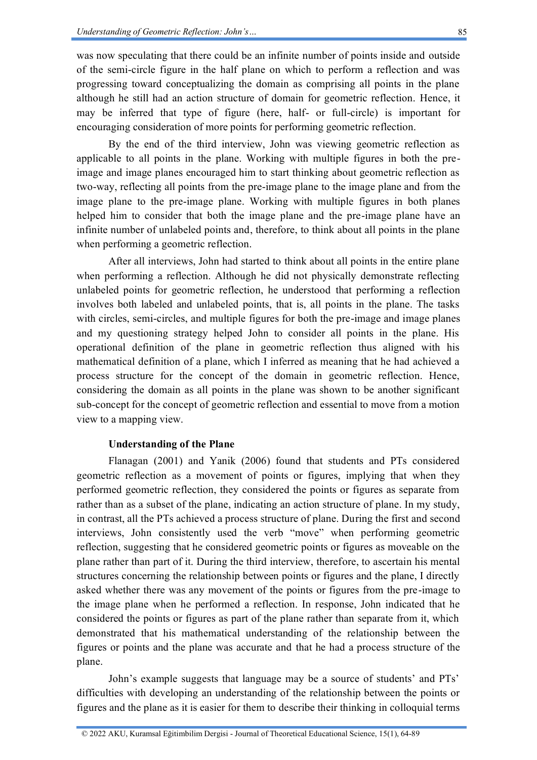was now speculating that there could be an infinite number of points inside and outside of the semi-circle figure in the half plane on which to perform a reflection and was progressing toward conceptualizing the domain as comprising all points in the plane although he still had an action structure of domain for geometric reflection. Hence, it may be inferred that type of figure (here, half- or full-circle) is important for encouraging consideration of more points for performing geometric reflection.

By the end of the third interview, John was viewing geometric reflection as applicable to all points in the plane. Working with multiple figures in both the preimage and image planes encouraged him to start thinking about geometric reflection as two-way, reflecting all points from the pre-image plane to the image plane and from the image plane to the pre-image plane. Working with multiple figures in both planes helped him to consider that both the image plane and the pre-image plane have an infinite number of unlabeled points and, therefore, to think about all points in the plane when performing a geometric reflection.

After all interviews, John had started to think about all points in the entire plane when performing a reflection. Although he did not physically demonstrate reflecting unlabeled points for geometric reflection, he understood that performing a reflection involves both labeled and unlabeled points, that is, all points in the plane. The tasks with circles, semi-circles, and multiple figures for both the pre-image and image planes and my questioning strategy helped John to consider all points in the plane. His operational definition of the plane in geometric reflection thus aligned with his mathematical definition of a plane, which I inferred as meaning that he had achieved a process structure for the concept of the domain in geometric reflection. Hence, considering the domain as all points in the plane was shown to be another significant sub-concept for the concept of geometric reflection and essential to move from a motion view to a mapping view.

# **Understanding of the Plane**

Flanagan (2001) and Yanik (2006) found that students and PTs considered geometric reflection as a movement of points or figures, implying that when they performed geometric reflection, they considered the points or figures as separate from rather than as a subset of the plane, indicating an action structure of plane. In my study, in contrast, all the PTs achieved a process structure of plane. During the first and second interviews, John consistently used the verb "move" when performing geometric reflection, suggesting that he considered geometric points or figures as moveable on the plane rather than part of it. During the third interview, therefore, to ascertain his mental structures concerning the relationship between points or figures and the plane, I directly asked whether there was any movement of the points or figures from the pre-image to the image plane when he performed a reflection. In response, John indicated that he considered the points or figures as part of the plane rather than separate from it, which demonstrated that his mathematical understanding of the relationship between the figures or points and the plane was accurate and that he had a process structure of the plane.

John's example suggests that language may be a source of students' and PTs' difficulties with developing an understanding of the relationship between the points or figures and the plane as it is easier for them to describe their thinking in colloquial terms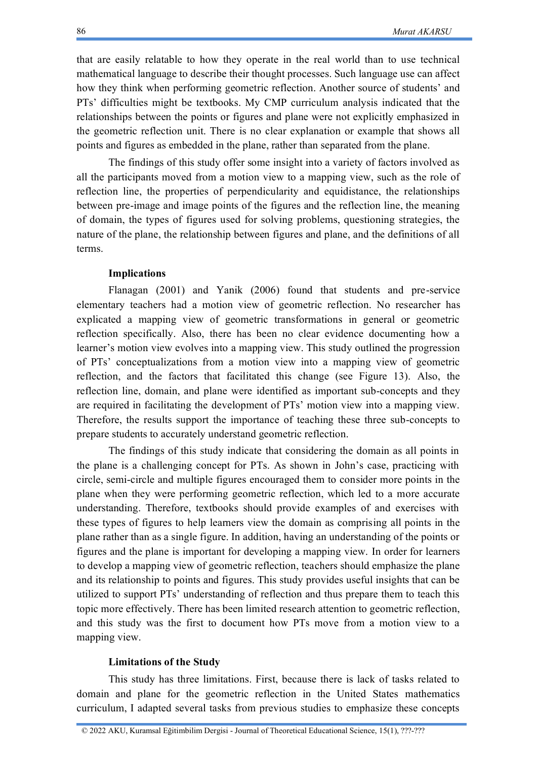that are easily relatable to how they operate in the real world than to use technical mathematical language to describe their thought processes. Such language use can affect how they think when performing geometric reflection. Another source of students' and PTs' difficulties might be textbooks. My CMP curriculum analysis indicated that the relationships between the points or figures and plane were not explicitly emphasized in the geometric reflection unit. There is no clear explanation or example that shows all points and figures as embedded in the plane, rather than separated from the plane.

The findings of this study offer some insight into a variety of factors involved as all the participants moved from a motion view to a mapping view, such as the role of reflection line, the properties of perpendicularity and equidistance, the relationships between pre-image and image points of the figures and the reflection line, the meaning of domain, the types of figures used for solving problems, questioning strategies, the nature of the plane, the relationship between figures and plane, and the definitions of all terms.

# **Implications**

Flanagan (2001) and Yanik (2006) found that students and pre-service elementary teachers had a motion view of geometric reflection. No researcher has explicated a mapping view of geometric transformations in general or geometric reflection specifically. Also, there has been no clear evidence documenting how a learner's motion view evolves into a mapping view. This study outlined the progression of PTs' conceptualizations from a motion view into a mapping view of geometric reflection, and the factors that facilitated this change (see Figure 13). Also, the reflection line, domain, and plane were identified as important sub-concepts and they are required in facilitating the development of PTs' motion view into a mapping view. Therefore, the results support the importance of teaching these three sub-concepts to prepare students to accurately understand geometric reflection.

The findings of this study indicate that considering the domain as all points in the plane is a challenging concept for PTs. As shown in John's case, practicing with circle, semi-circle and multiple figures encouraged them to consider more points in the plane when they were performing geometric reflection, which led to a more accurate understanding. Therefore, textbooks should provide examples of and exercises with these types of figures to help learners view the domain as comprising all points in the plane rather than as a single figure. In addition, having an understanding of the points or figures and the plane is important for developing a mapping view. In order for learners to develop a mapping view of geometric reflection, teachers should emphasize the plane and its relationship to points and figures. This study provides useful insights that can be utilized to support PTs' understanding of reflection and thus prepare them to teach this topic more effectively. There has been limited research attention to geometric reflection, and this study was the first to document how PTs move from a motion view to a mapping view.

# **Limitations of the Study**

This study has three limitations. First, because there is lack of tasks related to domain and plane for the geometric reflection in the United States mathematics curriculum, I adapted several tasks from previous studies to emphasize these concepts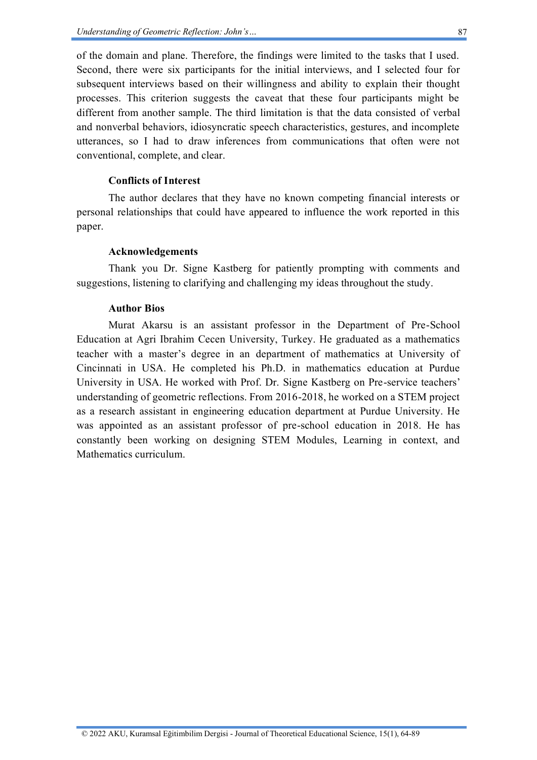of the domain and plane. Therefore, the findings were limited to the tasks that I used. Second, there were six participants for the initial interviews, and I selected four for subsequent interviews based on their willingness and ability to explain their thought processes. This criterion suggests the caveat that these four participants might be different from another sample. The third limitation is that the data consisted of verbal and nonverbal behaviors, idiosyncratic speech characteristics, gestures, and incomplete utterances, so I had to draw inferences from communications that often were not conventional, complete, and clear.

# **Conflicts of Interest**

The author declares that they have no known competing financial interests or personal relationships that could have appeared to influence the work reported in this paper.

# **Acknowledgements**

Thank you Dr. Signe Kastberg for patiently prompting with comments and suggestions, listening to clarifying and challenging my ideas throughout the study.

### **Author Bios**

Murat Akarsu is an assistant professor in the Department of Pre-School Education at Agri Ibrahim Cecen University, Turkey. He graduated as a mathematics teacher with a master's degree in an department of mathematics at University of Cincinnati in USA. He completed his Ph.D. in mathematics education at Purdue University in USA. He worked with Prof. Dr. Signe Kastberg on Pre-service teachers' understanding of geometric reflections. From 2016-2018, he worked on a STEM project as a research assistant in engineering education department at Purdue University. He was appointed as an assistant professor of pre-school education in 2018. He has constantly been working on designing STEM Modules, Learning in context, and Mathematics curriculum.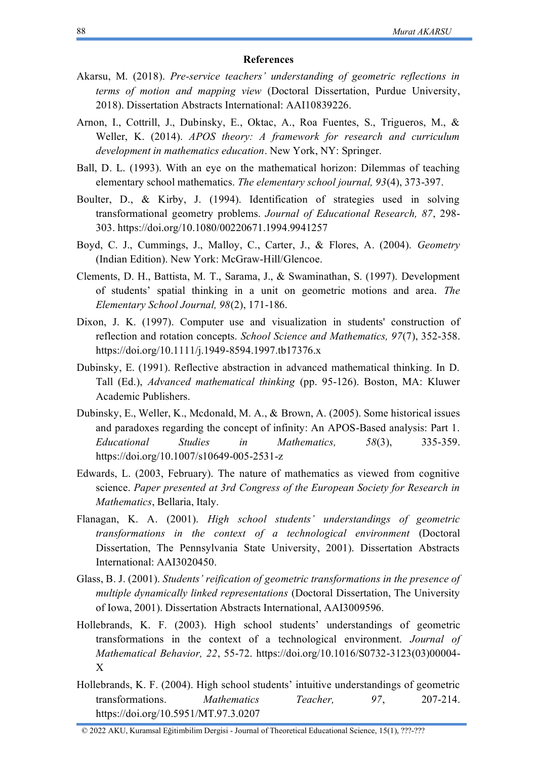### **References**

- Akarsu, M. (2018). *Pre-service teachers' understanding of geometric reflections in terms of motion and mapping view* (Doctoral Dissertation, Purdue University, 2018). Dissertation Abstracts International: AAI10839226.
- Arnon, I., Cottrill, J., Dubinsky, E., Oktac, A., Roa Fuentes, S., Trigueros, M., & Weller, K. (2014). *APOS theory: A framework for research and curriculum development in mathematics education*. New York, NY: Springer.
- Ball, D. L. (1993). With an eye on the mathematical horizon: Dilemmas of teaching elementary school mathematics. *The elementary school journal, 93*(4), 373-397.
- Boulter, D., & Kirby, J. (1994). Identification of strategies used in solving transformational geometry problems. *Journal of Educational Research, 87*, 298- 303. <https://doi.org/10.1080/00220671.1994.9941257>
- Boyd, C. J., Cummings, J., Malloy, C., Carter, J., & Flores, A. (2004). *Geometry* (Indian Edition). New York: McGraw-Hill/Glencoe.
- Clements, D. H., Battista, M. T., Sarama, J., & Swaminathan, S. (1997). Development of students' spatial thinking in a unit on geometric motions and area. *The Elementary School Journal, 98*(2), 171-186.
- Dixon, J. K. (1997). Computer use and visualization in students' construction of reflection and rotation concepts. *School Science and Mathematics, 97*(7), 352-358. <https://doi.org/10.1111/j.1949-8594.1997.tb17376.x>
- Dubinsky, E. (1991). Reflective abstraction in advanced mathematical thinking. In D. Tall (Ed.), *Advanced mathematical thinking* (pp. 95-126). Boston, MA: Kluwer Academic Publishers.
- Dubinsky, E., Weller, K., Mcdonald, M. A., & Brown, A. (2005). Some historical issues and paradoxes regarding the concept of infinity: An APOS-Based analysis: Part 1. *Educational Studies in Mathematics, 58*(3), 335-359. <https://doi.org/10.1007/s10649-005-2531-z>
- Edwards, L. (2003, February). The nature of mathematics as viewed from cognitive science. *Paper presented at 3rd Congress of the European Society for Research in Mathematics*, Bellaria, Italy.
- Flanagan, K. A. (2001). *High school students' understandings of geometric transformations in the context of a technological environment* (Doctoral Dissertation, The Pennsylvania State University, 2001). Dissertation Abstracts International: AAI3020450.
- Glass, B. J. (2001). *Students' reification of geometric transformations in the presence of multiple dynamically linked representations* (Doctoral Dissertation, The University of Iowa, 2001). Dissertation Abstracts International, AAI3009596.
- Hollebrands, K. F. (2003). High school students' understandings of geometric transformations in the context of a technological environment. *Journal of Mathematical Behavior, 22*, 55-72. [https://doi.org/10.1016/S0732-3123\(03\)00004-](https://doi.org/10.1016/S0732-3123(03)00004-X) [X](https://doi.org/10.1016/S0732-3123(03)00004-X)
- Hollebrands, K. F. (2004). High school students' intuitive understandings of geometric transformations. *Mathematics Teacher, 97*, 207-214. <https://doi.org/10.5951/MT.97.3.0207>